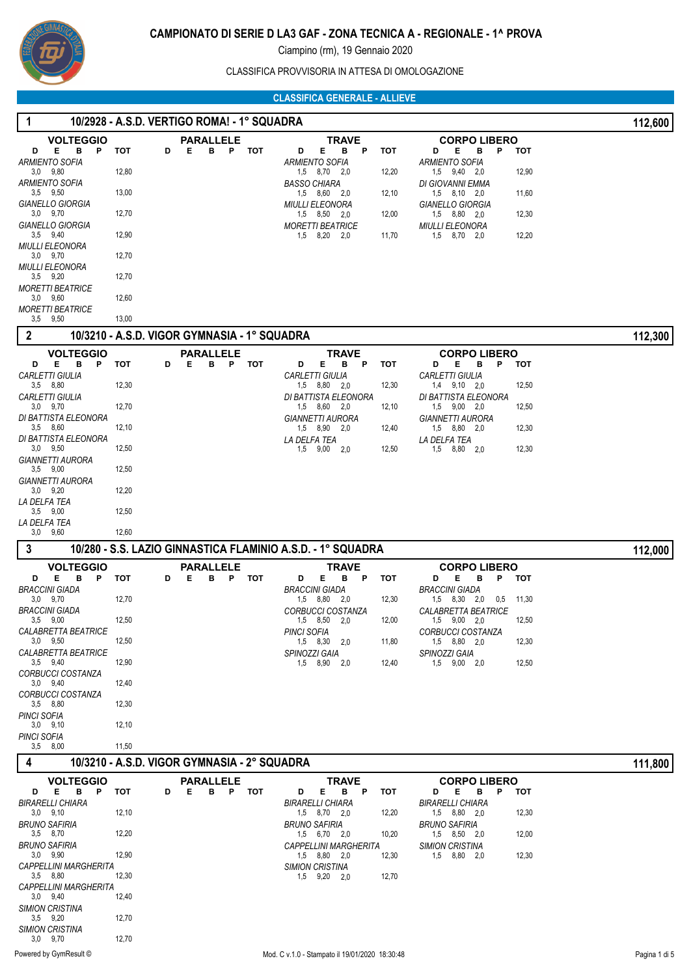

CLASSIFICA PROVVISORIA IN ATTESA DI OMOLOGAZIONE

 **1 10/2928 - A.S.D. VERTIGO ROMA! - 1° SQUADRA 112,600**

# **CLASSIFICA GENERALE - ALLIEVE**

| <b>VOLTEGGIO</b>                             |                                              |   |   | <b>PARALLELE</b>           |            | <b>TRAVE</b>                                                |            | <b>CORPO LIBERO</b>                           |       |         |
|----------------------------------------------|----------------------------------------------|---|---|----------------------------|------------|-------------------------------------------------------------|------------|-----------------------------------------------|-------|---------|
| Е<br>в<br>P<br>D<br><b>ARMIENTO SOFIA</b>    | тот                                          | D | Е | P<br>в                     | тот        | Е<br>D<br>В<br>P<br><b>ARMIENTO SOFIA</b>                   | тот        | Е<br>в<br>P<br>D<br><b>ARMIENTO SOFIA</b>     | тот   |         |
| $3,0$ $9,80$                                 | 12,80                                        |   |   |                            |            | $1,5$ $8,70$ $2,0$                                          | 12,20      | 1,5 9,40 2,0                                  | 12,90 |         |
| <b>ARMIENTO SOFIA</b>                        |                                              |   |   |                            |            | <b>BASSO CHIARA</b>                                         |            | DI GIOVANNI EMMA                              |       |         |
| $3,5$ $9,50$<br><b>GIANELLO GIORGIA</b>      | 13,00                                        |   |   |                            |            | 1,5 8,60 2,0<br><b>MIULLI ELEONORA</b>                      | 12,10      | $1,5$ $8,10$ $2,0$<br><b>GIANELLO GIORGIA</b> | 11,60 |         |
| $3,0$ $9,70$                                 | 12,70                                        |   |   |                            |            | $1,5$ $8,50$ $2,0$                                          | 12,00      | 1,5 8,80 2,0                                  | 12,30 |         |
| GIANELLO GIORGIA<br>$3,5$ $9,40$             | 12,90                                        |   |   |                            |            | <b>MORETTI BEATRICE</b><br>8,20 2,0                         |            | MIULLI ELEONORA                               | 12,20 |         |
| <b>MIULLI ELEONORA</b>                       |                                              |   |   |                            |            | 1,5                                                         | 11,70      | 1,5 8,70 2,0                                  |       |         |
| $3,0$ $9,70$                                 | 12,70                                        |   |   |                            |            |                                                             |            |                                               |       |         |
| <b>MIULLI ELEONORA</b><br>$3,5$ $9,20$       | 12,70                                        |   |   |                            |            |                                                             |            |                                               |       |         |
| <b>MORETTI BEATRICE</b>                      |                                              |   |   |                            |            |                                                             |            |                                               |       |         |
| $3,0$ $9,60$                                 | 12,60                                        |   |   |                            |            |                                                             |            |                                               |       |         |
| <b>MORETTI BEATRICE</b><br>$3,5$ $9,50$      | 13,00                                        |   |   |                            |            |                                                             |            |                                               |       |         |
| $\boldsymbol{2}$                             | 10/3210 - A.S.D. VIGOR GYMNASIA - 1° SQUADRA |   |   |                            |            |                                                             |            |                                               |       | 112,300 |
|                                              |                                              |   |   |                            |            |                                                             |            |                                               |       |         |
| <b>VOLTEGGIO</b><br>E<br>в<br>P<br>D         | тот                                          | D | Е | <b>PARALLELE</b><br>B.     | P TOT      | TRAVE<br>Е<br>в<br>P<br>D                                   | <b>TOT</b> | <b>CORPO LIBERO</b><br>в<br>P<br>D<br>Е       | тот   |         |
| <b>CARLETTI GIULIA</b>                       |                                              |   |   |                            |            | <b>CARLETTI GIULIA</b>                                      |            | <b>CARLETTI GIULIA</b>                        |       |         |
| $3.5$ $8.80$                                 | 12,30                                        |   |   |                            |            | 1,5 8,80 2,0                                                | 12,30      | $1,4$ $9,10$ $2,0$                            | 12,50 |         |
| <b>CARLETTI GIULIA</b><br>$3,0$ $9,70$       | 12,70                                        |   |   |                            |            | DI BATTISTA ELEONORA<br>1,5 8,60 2,0                        | 12,10      | DI BATTISTA ELEONORA<br>$1,5$ $9,00$ $2,0$    | 12,50 |         |
| DI BATTISTA ELEONORA                         |                                              |   |   |                            |            | <b>GIANNETTI AURORA</b>                                     |            | <b>GIANNETTI AURORA</b>                       |       |         |
| $3,5$ $8,60$                                 | 12,10                                        |   |   |                            |            | 1,5 8,90 2,0                                                | 12,40      | 1,5 8,80 2,0                                  | 12,30 |         |
| DI BATTISTA ELEONORA<br>$3,0$ $9,50$         | 12,50                                        |   |   |                            |            | LA DELFA TEA<br>$1,5$ $9,00$ $2,0$                          | 12,50      | LA DELFA TEA<br>1,5 8,80 2,0                  | 12,30 |         |
| <b>GIANNETTI AURORA</b>                      |                                              |   |   |                            |            |                                                             |            |                                               |       |         |
| $3.5$ $9.00$                                 | 12,50                                        |   |   |                            |            |                                                             |            |                                               |       |         |
| <b>GIANNETTI AURORA</b><br>$3,0$ $9,20$      | 12,20                                        |   |   |                            |            |                                                             |            |                                               |       |         |
| LA DELFA TEA                                 |                                              |   |   |                            |            |                                                             |            |                                               |       |         |
| $3,5$ $9,00$                                 | 12,50                                        |   |   |                            |            |                                                             |            |                                               |       |         |
| LA DELFA TEA<br>$3,0$ $9,60$                 | 12,60                                        |   |   |                            |            |                                                             |            |                                               |       |         |
| 3                                            |                                              |   |   |                            |            | 10/280 - S.S. LAZIO GINNASTICA FLAMINIO A.S.D. - 1° SQUADRA |            |                                               |       | 112,000 |
|                                              |                                              |   |   |                            |            |                                                             |            |                                               |       |         |
| <b>VOLTEGGIO</b><br>E.<br>в<br>P<br>D        | тот                                          | D | Е | <b>PARALLELE</b><br>в<br>P | <b>TOT</b> | <b>TRAVE</b><br>D<br>Е<br>в<br>P                            | <b>TOT</b> | <b>CORPO LIBERO</b><br>P<br>D<br>Е<br>в       | тот   |         |
| <b>BRACCINI GIADA</b>                        |                                              |   |   |                            |            | <b>BRACCINI GIADA</b>                                       |            | <b>BRACCINI GIADA</b>                         |       |         |
| $3,0$ $9,70$                                 | 12,70                                        |   |   |                            |            | 1,5 8,80 2,0                                                | 12,30      | 1,5 8,30 2,0<br>0,5                           | 11,30 |         |
| <b>BRACCINI GIADA</b><br>$3,5$ $9,00$        |                                              |   |   |                            |            |                                                             |            | <b>CALABRETTA BEATRICE</b>                    |       |         |
|                                              |                                              |   |   |                            |            | <b>CORBUCCI COSTANZA</b>                                    |            |                                               |       |         |
| <i>CALABRETTA BEATRICE</i>                   | 12,50                                        |   |   |                            |            | 1,5 8,50 2,0                                                | 12,00      | 1,5 9,00 2,0<br>CORBUCCI COSTANZA             | 12,50 |         |
| $3.0$ $9.50$                                 | 12,50                                        |   |   |                            |            | <b>PINCI SOFIA</b><br>1,5 8,30<br>2,0                       | 11,80      | 1,5 8,80 2.0                                  | 12,30 |         |
| CALABRETTA BEATRICE                          |                                              |   |   |                            |            | SPINOZZI GAIA                                               |            | SPINOZZI GAIA                                 |       |         |
| $3,5$ $9,40$<br><b>CORBUCCI COSTANZA</b>     | 12,90                                        |   |   |                            |            | 1,5 8,90 2,0                                                | 12,40      | 1,5 9,00 2,0                                  | 12,50 |         |
| $3,0$ $9,40$                                 | 12,40                                        |   |   |                            |            |                                                             |            |                                               |       |         |
| <b>CORBUCCI COSTANZA</b>                     |                                              |   |   |                            |            |                                                             |            |                                               |       |         |
| $3,5$ $8,80$<br>PINCI SOFIA                  | 12,30                                        |   |   |                            |            |                                                             |            |                                               |       |         |
| $3.0$ $9.10$                                 | 12,10                                        |   |   |                            |            |                                                             |            |                                               |       |         |
| PINCI SOFIA<br>$3,5$ $8,00$                  | 11,50                                        |   |   |                            |            |                                                             |            |                                               |       |         |
|                                              |                                              |   |   |                            |            |                                                             |            |                                               |       |         |
| 4                                            | 10/3210 - A.S.D. VIGOR GYMNASIA - 2° SQUADRA |   |   |                            |            |                                                             |            |                                               |       | 111,800 |
| <b>VOLTEGGIO</b>                             |                                              |   |   | <b>PARALLELE</b>           |            | TRAVE                                                       |            | <b>CORPO LIBERO</b>                           |       |         |
| E.<br>в<br>P<br>D<br><b>BIRARELLI CHIARA</b> | тот                                          | D | Е | B.                         | P TOT      | D<br>Е.<br>B P<br><b>BIRARELLI CHIARA</b>                   | тот        | D<br>Е<br>в<br>P<br>BIRARELLI CHIARA          | тот   |         |
| $3,0$ $9,10$                                 | 12,10                                        |   |   |                            |            | 1,5 8,70 2,0                                                | 12,20      | 1,5 8,80 2,0                                  | 12,30 |         |
| <b>BRUNO SAFIRIA</b>                         |                                              |   |   |                            |            | <b>BRUNO SAFIRIA</b>                                        |            | BRUNO SAFIRIA                                 |       |         |
| 3,5 8,70<br>BRUNO SAFIRIA                    | 12,20                                        |   |   |                            |            | $1,5$ 6,70 2,0<br><b>CAPPELLINI MARGHERITA</b>              | 10,20      | $1,5$ $8,50$ $2,0$<br><b>SIMION CRISTINA</b>  | 12,00 |         |
| $3,0$ $9,90$                                 | 12,90                                        |   |   |                            |            | 1,5 8,80<br>2,0                                             | 12,30      | 1,5 8,80 2,0                                  | 12,30 |         |
| <b>CAPPELLINI MARGHERITA</b>                 |                                              |   |   |                            |            | <b>SIMION CRISTINA</b>                                      |            |                                               |       |         |
| $3,5$ $8,80$<br>CAPPELLINI MARGHERITA        | 12,30                                        |   |   |                            |            | 1,5 9,20 2,0                                                | 12,70      |                                               |       |         |
| $3,0$ $9,40$                                 | 12,40                                        |   |   |                            |            |                                                             |            |                                               |       |         |
| <b>SIMION CRISTINA</b>                       |                                              |   |   |                            |            |                                                             |            |                                               |       |         |
| $3,5$ $9,20$<br><b>SIMION CRISTINA</b>       | 12,70                                        |   |   |                            |            |                                                             |            |                                               |       |         |
| $3,0$ $9,70$                                 | 12,70                                        |   |   |                            |            |                                                             |            |                                               |       |         |

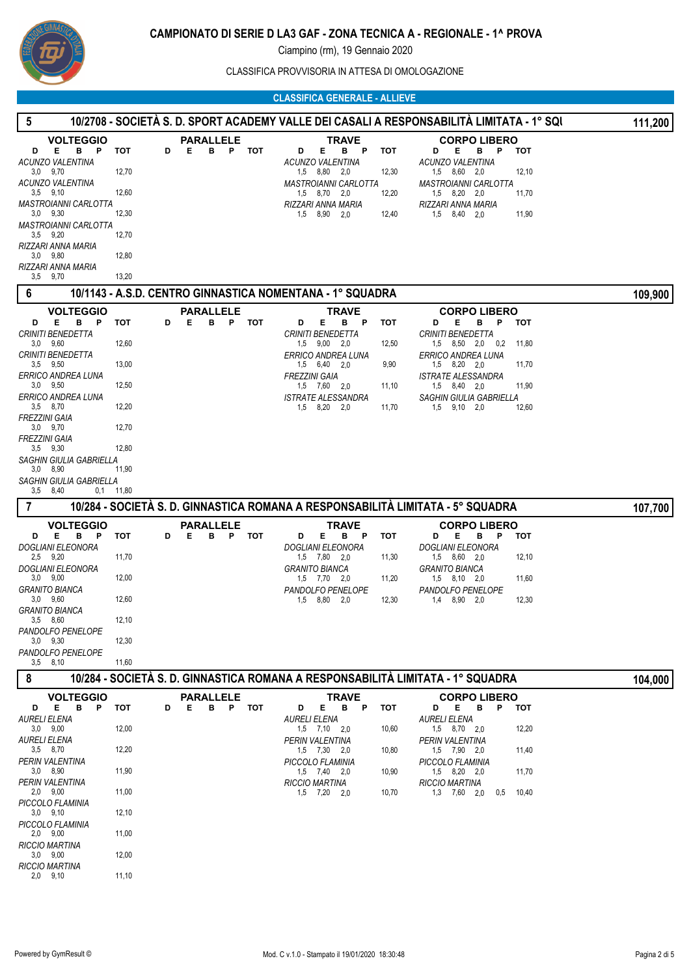

CLASSIFICA PROVVISORIA IN ATTESA DI OMOLOGAZIONE

## **CLASSIFICA GENERALE - ALLIEVE**

| $\sqrt{5}$                                    |                 |                                               |                                                                                 | <u> 10/2708 - SOCIETÀ S. D. SPORT ACADEMY VALLE DEI CASALI A RESPONSABILITÀ LIMITATA - 1º SQI</u> | 111,200 |
|-----------------------------------------------|-----------------|-----------------------------------------------|---------------------------------------------------------------------------------|---------------------------------------------------------------------------------------------------|---------|
| <b>VOLTEGGIO</b><br>E<br>B P<br>D             | тот<br>D        | <b>PARALLELE</b><br>Е<br>в<br>P<br>тот        | TRAVE<br>Е.<br>B P<br>тот<br>D                                                  | <b>CORPO LIBERO</b><br>Е<br>В<br>- P<br>тот<br>D                                                  |         |
| <b>ACUNZO VALENTINA</b>                       |                 |                                               | <b>ACUNZO VALENTINA</b>                                                         | <b>ACUNZO VALENTINA</b>                                                                           |         |
| $3.0$ $9.70$<br><b>ACUNZO VALENTINA</b>       | 12,70           |                                               | 8,80<br>12,30<br>1,5<br>- 2.0<br><b>MASTROIANNI CARLOTTA</b>                    | 12,10<br>1,5 8,60 2,0<br><b>MASTROIANNI CARLOTTA</b>                                              |         |
| $3,5$ $9,10$<br><b>MASTROIANNI CARLOTTA</b>   | 12,60           |                                               | $1,5$ $8,70$ $2,0$<br>12,20<br>RIZZARI ANNA MARIA                               | $1,5$ $8,20$ $2,0$<br>11,70<br>RIZZARI ANNA MARIA                                                 |         |
| $3,0$ $9,30$<br><b>MASTROIANNI CARLOTTA</b>   | 12,30           |                                               | $1,5$ $8,90$ $2,0$<br>12,40                                                     | 1,5 8,40 2,0<br>11,90                                                                             |         |
| $3.5$ $9.20$<br>RIZZARI ANNA MARIA            | 12,70           |                                               |                                                                                 |                                                                                                   |         |
| $3.0$ $9.80$<br>RIZZARI ANNA MARIA            | 12,80           |                                               |                                                                                 |                                                                                                   |         |
| $3,5$ $9,70$                                  | 13,20           |                                               |                                                                                 |                                                                                                   |         |
| $6\phantom{1}6$                               |                 |                                               | 10/1143 - A.S.D. CENTRO GINNASTICA NOMENTANA - 1° SQUADRA                       |                                                                                                   | 109,900 |
| <b>VOLTEGGIO</b><br>Е<br>B<br>P<br>D          | тот<br>D        | <b>PARALLELE</b><br>Е<br>в<br>P<br>тот        | TRAVE<br>D<br>Е<br>в<br>тот<br>P                                                | <b>CORPO LIBERO</b><br>D<br>Е<br>в<br>P<br>тот                                                    |         |
| <b>CRINITI BENEDETTA</b><br>$3.0\quad 9.60$   | 12,60           |                                               | <b>CRINITI BENEDETTA</b><br>1,5 9,00 2,0<br>12,50                               | CRINITI BENEDETTA<br>$1,5$ $8,50$ $2,0$ $0,2$<br>11,80                                            |         |
| <b>CRINITI BENEDETTA</b><br>$3,5$ $9,50$      | 13,00           |                                               | ERRICO ANDREA LUNA                                                              | ERRICO ANDREA LUNA<br>11,70                                                                       |         |
| <b>ERRICO ANDREA LUNA</b>                     |                 |                                               | 6,40<br>9,90<br>1,5<br>2,0<br><b>FREZZINI GAIA</b>                              | $1,5$ $8,20$ $2,0$<br>ISTRATE ALESSANDRA                                                          |         |
| $3.0$ $9.50$<br>ERRICO ANDREA LUNA            | 12,50           |                                               | 1,5 7,60 2,0<br>11,10<br><b>ISTRATE ALESSANDRA</b>                              | 1,5 8,40 2,0<br>11,90<br>SAGHIN GIULIA GABRIELLA                                                  |         |
| 3,5 8,70<br><b>FREZZINI GAIA</b>              | 12,20           |                                               | 1,5 8,20<br>2,0<br>11,70                                                        | 1,5<br>9,10 2,0<br>12,60                                                                          |         |
| 3.0 9.70<br><b>FREZZINI GAIA</b>              | 12,70           |                                               |                                                                                 |                                                                                                   |         |
| $3,5$ $9,30$<br>SAGHIN GIULIA GABRIELLA       | 12,80           |                                               |                                                                                 |                                                                                                   |         |
| $3.0\quad 8.90$                               | 11,90           |                                               |                                                                                 |                                                                                                   |         |
| SAGHIN GIULIA GABRIELLA<br>$3,5$ $8,40$       | $0,1$ 11,80     |                                               |                                                                                 |                                                                                                   |         |
| $\overline{7}$                                |                 |                                               | 10/284 - SOCIETÀ S. D. GINNASTICA ROMANA A RESPONSABILITÀ LIMITATA - 5° SQUADRA |                                                                                                   | 107,700 |
| <b>VOLTEGGIO</b><br>Е<br><b>B</b><br>P<br>D   | <b>TOT</b><br>D | <b>PARALLELE</b><br>P<br><b>TOT</b><br>Е<br>в | TRAVE<br>Е<br>в<br>D<br>- P<br>тот                                              | <b>CORPO LIBERO</b><br>Е<br>тот<br>D<br>в<br>P                                                    |         |
| <b>DOGLIANI ELEONORA</b><br>$2,5$ $9,20$      | 11,70           |                                               | <b>DOGLIANI ELEONORA</b><br>1,5 7,80<br>11,30<br>2,0                            | DOGLIANI ELEONORA<br>1,5 8,60 2,0<br>12,10                                                        |         |
| DOGLIANI ELEONORA<br>$3.0$ $9.00$             |                 |                                               | <b>GRANITO BIANCA</b>                                                           | GRANITO BIANCA                                                                                    |         |
| <b>GRANITO BIANCA</b>                         | 12,00           |                                               | 11,20<br>$1,5$ $7,70$ $2,0$<br>PANDOLFO PENELOPE                                | $1,5$ $8,10$ $2,0$<br>11,60<br>PANDOLFO PENELOPE                                                  |         |
| $3,0$ $9,60$<br><b>GRANITO BIANCA</b>         | 12,60           |                                               | 8,80<br>12,30<br>1,5<br>2,0                                                     | 8,90 2,0<br>12,30<br>1,4                                                                          |         |
| 3,5 8,60<br>PANDOLFO PENELOPE                 | 12,10           |                                               |                                                                                 |                                                                                                   |         |
| $3,0$ $9,30$<br>PANDOLFO PENELOPE             | 12,30           |                                               |                                                                                 |                                                                                                   |         |
| $3,5$ $8,10$                                  | 11,60           |                                               |                                                                                 |                                                                                                   |         |
| 8                                             |                 |                                               | 10/284 - SOCIETÀ S. D. GINNASTICA ROMANA A RESPONSABILITÀ LIMITATA - 1º SQUADRA |                                                                                                   | 104,000 |
| <b>VOLTEGGIO</b><br>B <sub>P</sub><br>D<br>E. | тот<br>D        | <b>PARALLELE</b><br>Е<br>в<br>P.<br>тот       | <b>TRAVE</b><br>в<br>D<br>Е<br>- P<br>тот                                       | <b>CORPO LIBERO</b><br>D<br>Е<br>В<br>P.<br>тот                                                   |         |
| <b>AURELI ELENA</b><br>$3.0\quad 9.00$        | 12,00           |                                               | <b>AURELI ELENA</b><br>$1,5$ $7,10$ $2,0$<br>10,60                              | <b>AURELI ELENA</b><br>12,20<br>1,5 8,70 2,0                                                      |         |
| <b>AURELI ELENA</b><br>3,5 8,70               | 12,20           |                                               | PERIN VALENTINA<br>$1,5$ $7,30$ $2,0$<br>10,80                                  | PERIN VALENTINA<br>1,5 7,90 2,0<br>11,40                                                          |         |
| PERIN VALENTINA<br>$3,0$ $8,90$               | 11,90           |                                               | PICCOLO FLAMINIA<br>$1,5$ $7,40$ $2,0$<br>10,90                                 | PICCOLO FLAMINIA<br>$1,5$ $8,20$ $2,0$<br>11,70                                                   |         |
| <b>PERIN VALENTINA</b>                        | 11,00           |                                               | <b>RICCIO MARTINA</b>                                                           | <b>RICCIO MARTINA</b>                                                                             |         |
| $2,0$ $9,00$<br>PICCOLO FLAMINIA              |                 |                                               | $1,5$ $7,20$ $2,0$<br>10,70                                                     | $1,3$ $7,60$ $2,0$<br>0,5<br>10,40                                                                |         |
| $3,0$ $9,10$<br>PICCOLO FLAMINIA              | 12,10           |                                               |                                                                                 |                                                                                                   |         |
| $2,0$ $9,00$<br><b>RICCIO MARTINA</b>         | 11,00           |                                               |                                                                                 |                                                                                                   |         |
| $3,0$ $9,00$<br><b>RICCIO MARTINA</b>         | 12,00           |                                               |                                                                                 |                                                                                                   |         |
| $2,0$ $9,10$                                  | 11,10           |                                               |                                                                                 |                                                                                                   |         |
|                                               |                 |                                               |                                                                                 |                                                                                                   |         |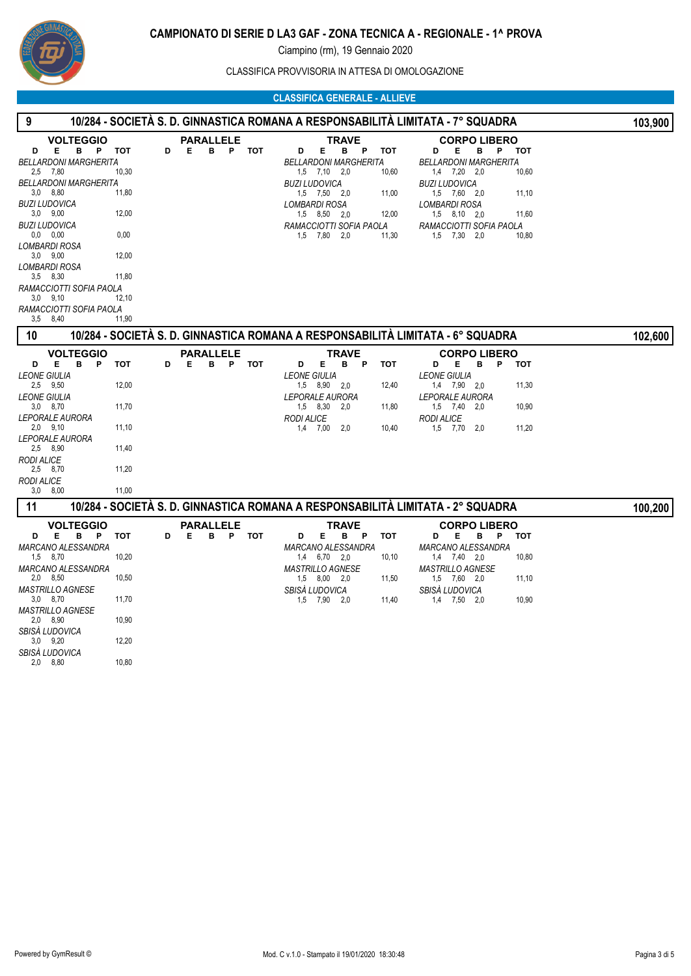

CLASSIFICA PROVVISORIA IN ATTESA DI OMOLOGAZIONE

## **CLASSIFICA GENERALE - ALLIEVE**

| 9                                                                                                                                                                                                                                                                                                                                                         |                                                                   |   |                            |   |       |                                                                                                                                                                                                                                                                          | <u> 10/284 - SOCIETÀ S. D. GINNASTICA ROMANA A RESPONSABILITÀ LIMITATA - 7º SQUADRA</u>                                                                                                                                         | 103,900                                 |
|-----------------------------------------------------------------------------------------------------------------------------------------------------------------------------------------------------------------------------------------------------------------------------------------------------------------------------------------------------------|-------------------------------------------------------------------|---|----------------------------|---|-------|--------------------------------------------------------------------------------------------------------------------------------------------------------------------------------------------------------------------------------------------------------------------------|---------------------------------------------------------------------------------------------------------------------------------------------------------------------------------------------------------------------------------|-----------------------------------------|
| <b>VOLTEGGIO</b><br>E.<br>B P<br>D<br><b>BELLARDONI MARGHERITA</b><br>2,5 7,80<br><b>BELLARDONI MARGHERITA</b><br>$3,0$ $8,80$<br><b>BUZI LUDOVICA</b><br>$3,0$ $9,00$<br><b>BUZI LUDOVICA</b><br>0.0 0.00<br><b>LOMBARDI ROSA</b><br>$3,0$ $9,00$<br>LOMBARDI ROSA<br>$3,5$ $8,30$<br>RAMACCIOTTI SOFIA PAOLA<br>$3.0$ $9.10$<br>RAMACCIOTTI SOFIA PAOLA | тот<br>10,30<br>11,80<br>12,00<br>0,00<br>12,00<br>11,80<br>12,10 | D | <b>PARALLELE</b><br>Е<br>в |   | P TOT | <b>TRAVE</b><br>Е.<br>в<br>$\mathsf{P}$<br>тот<br>D<br><b>BELLARDONI MARGHERITA</b><br>$1,5$ $7,10$ $2,0$<br>10,60<br><b>BUZI LUDOVICA</b><br>1,5 7,50 2,0<br>11,00<br><b>LOMBARDI ROSA</b><br>1,5 8,50 2,0<br>12,00<br>RAMACCIOTTI SOFIA PAOLA<br>1,5 7,80 2,0<br>11,30 | <b>CORPO LIBERO</b><br>Е<br>B.<br>P.<br>D<br><b>BELLARDONI MARGHERITA</b><br>$1,4$ $7,20$ $2,0$<br><b>BUZI LUDOVICA</b><br>1,5 7,60 2,0<br>LOMBARDI ROSA<br>$1,5$ $8,10$ $2,0$<br>RAMACCIOTTI SOFIA PAOLA<br>$1,5$ $7,30$ $2,0$ | тот<br>10,60<br>11,10<br>11,60<br>10,80 |
| $3,5$ $8,40$<br>10                                                                                                                                                                                                                                                                                                                                        | 11,90                                                             |   |                            |   |       |                                                                                                                                                                                                                                                                          | <u> 10/284 - SOCIETÀ S. D. GINNASTICA ROMANA A RESPONSABILITÀ LIMITATA - 6º SQUADRA</u>                                                                                                                                         | 102,600                                 |
| <b>VOLTEGGIO</b><br>B <sub>P</sub><br>D<br>Е.<br><b>LEONE GIULIA</b><br>2,5 9,50<br><b>LEONE GIULIA</b><br>$3,0$ $8,70$<br><i><b>LEPORALE AURORA</b></i><br>$2,0$ $9,10$<br><b>LEPORALE AURORA</b><br>2,5 8,90<br><b>RODI ALICE</b><br>2,5 8,70<br><b>RODI ALICE</b><br>$3,0$ $8,00$                                                                      | <b>TOT</b><br>12,00<br>11,70<br>11,10<br>11,40<br>11,20<br>11,00  | D | <b>PARALLELE</b><br>Е<br>в | P | тот   | <b>TRAVE</b><br>Е<br>в<br>P<br><b>TOT</b><br>D<br><b>LEONE GIULIA</b><br>1,5 8,90 2,0<br>12,40<br><b>LEPORALE AURORA</b><br>11,80<br>1,5 8,30<br>2,0<br><b>RODI ALICE</b><br>$1,4$ 7,00<br>10,40<br>2,0                                                                  | <b>CORPO LIBERO</b><br>D<br>Е<br>в<br>P<br><b>LEONE GIULIA</b><br>1,4 7,90 2,0<br><b>LEPORALE AURORA</b><br>1,5 7,40<br>2,0<br><b>RODI ALICE</b><br>$1,5$ $7,70$ $2,0$                                                          | <b>TOT</b><br>11,30<br>10,90<br>11,20   |
| 11                                                                                                                                                                                                                                                                                                                                                        |                                                                   |   |                            |   |       |                                                                                                                                                                                                                                                                          | 10/284 - SOCIETÀ S. D. GINNASTICA ROMANA A RESPONSABILITÀ LIMITATA - 2º SQUADRA                                                                                                                                                 | 100,200                                 |
| <b>VOLTEGGIO</b><br>Е.<br>в<br>P.<br>D<br><b>MARCANO ALESSANDRA</b><br>1,5 8,70<br>MARCANO ALESSANDRA<br>$2,0$ $8,50$<br><b>MASTRILLO AGNESE</b><br>$3.0\quad 8.70$                                                                                                                                                                                       | тот<br>10,20<br>10,50<br>11,70                                    | D | <b>PARALLELE</b><br>Е<br>в |   | P TOT | TRAVE<br>Е.<br>в<br>P<br>тот<br>D<br>MARCANO ALESSANDRA<br>1,4 6,70 2,0<br>10,10<br><b>MASTRILLO AGNESE</b><br>$1,5$ $8,00$ $2,0$<br>11,50<br>SBISÀ LUDOVICA<br>1,5 7,90<br>11,40<br>2,0                                                                                 | <b>CORPO LIBERO</b><br>Е<br>в<br>P<br>D<br>MARCANO ALESSANDRA<br>$1,4$ $7,40$ $2,0$<br><b>MASTRILLO AGNESE</b><br>1,5 7,60 2,0<br>SBISÀ LUDOVICA<br>1,4 7,50<br>2.0                                                             | тот<br>10,80<br>11,10<br>10,90          |
| <b>MASTRILLO AGNESE</b><br>$2,0$ $8,90$<br>SBISÁ LUDOVICA<br>$3,0$ $9,20$<br>SBISÁ LUDOVICA<br>$2,0$ $8,80$                                                                                                                                                                                                                                               | 10,90<br>12,20<br>10.80                                           |   |                            |   |       |                                                                                                                                                                                                                                                                          |                                                                                                                                                                                                                                 |                                         |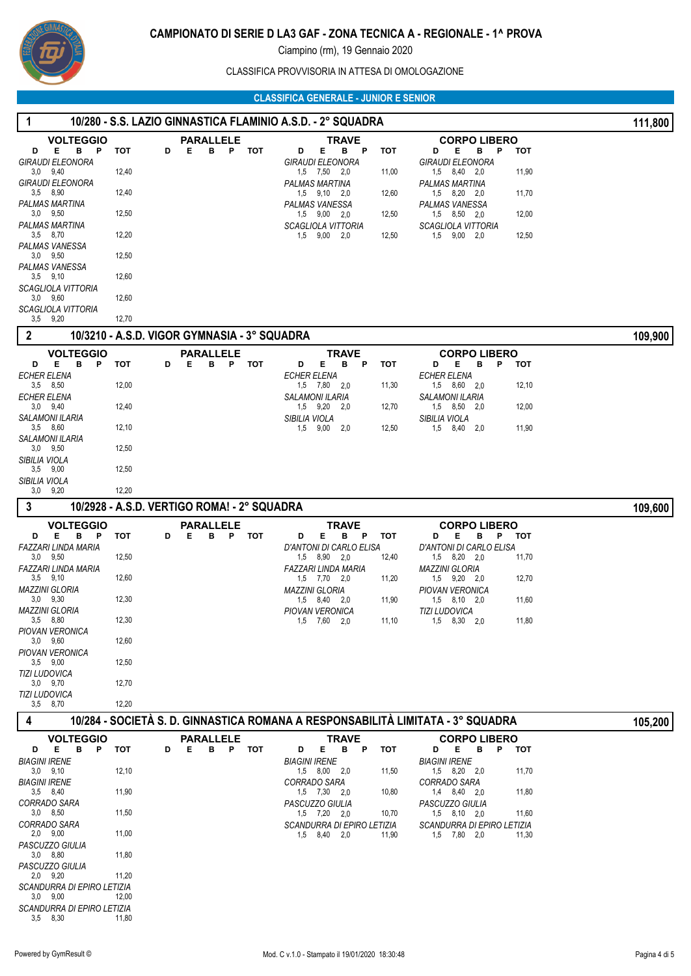

CLASSIFICA PROVVISORIA IN ATTESA DI OMOLOGAZIONE

#### **CLASSIFICA GENERALE - JUNIOR E SENIOR**

| -1                                                                                                                                                                                                                                                                                                                                                                                                |                                                                                           |                                                                                                                                                     | 10/280 - S.S. LAZIO GINNASTICA FLAMINIO A.S.D. - 2° SQUADRA                                                                                                                                                                                                                                                                    |                                                                                                                                                                                                                                                                            | 111,800 |
|---------------------------------------------------------------------------------------------------------------------------------------------------------------------------------------------------------------------------------------------------------------------------------------------------------------------------------------------------------------------------------------------------|-------------------------------------------------------------------------------------------|-----------------------------------------------------------------------------------------------------------------------------------------------------|--------------------------------------------------------------------------------------------------------------------------------------------------------------------------------------------------------------------------------------------------------------------------------------------------------------------------------|----------------------------------------------------------------------------------------------------------------------------------------------------------------------------------------------------------------------------------------------------------------------------|---------|
| <b>VOLTEGGIO</b><br>Е<br>B<br>P<br>D<br><b>GIRAUDI ELEONORA</b><br>$3,0$ $9,40$<br><b>GIRAUDI ELEONORA</b><br>$3,5$ $8,90$<br>PALMAS MARTINA<br>$3,0$ $9,50$<br>PALMAS MARTINA<br>3,5 8,70<br>PALMAS VANESSA<br>$3.0$ $9.50$<br>PALMAS VANESSA<br>$3,5$ $9,10$<br><b>SCAGLIOLA VITTORIA</b><br>$3,0$ $9,60$<br>SCAGLIOLA VITTORIA<br>$3,5$ $9,20$<br>$\overline{2}$<br><b>VOLTEGGIO</b><br>Е<br>P | тот<br>12,40<br>12,40<br>12,50<br>12,20<br>12,50<br>12,60<br>12,60<br>12,70<br><b>TOT</b> | <b>PARALLELE</b><br><b>TOT</b><br>D<br>Е<br>в<br>P<br>10/3210 - A.S.D. VIGOR GYMNASIA - 3° SQUADRA<br><b>PARALLELE</b><br>Е<br>P<br><b>TOT</b><br>D | TRAVE<br>Е<br>D<br>B.<br>P<br><b>TOT</b><br><b>GIRAUDI ELEONORA</b><br>1,5 7,50<br>2,0<br>11,00<br><b>PALMAS MARTINA</b><br>1,5 9,10<br>2,0<br>12,60<br>PALMAS VANESSA<br>1,5 9,00 2,0<br>12,50<br><b>SCAGLIOLA VITTORIA</b><br>$1,5$ $9,00$ $2,0$<br>12,50<br><b>TRAVE</b><br>P                                               | <b>CORPO LIBERO</b><br>Е<br>D<br>в<br>P<br>тот<br>GIRAUDI ELEONORA<br>1,5 8,40 2,0<br>11,90<br>PALMAS MARTINA<br>11,70<br>1.5 8.20 2.0<br>PALMAS VANESSA<br>1,5 8,50 2,0<br>12,00<br><b>SCAGLIOLA VITTORIA</b><br>$9,00$ 2,0<br>12,50<br>1,5<br><b>CORPO LIBERO</b><br>Е   | 109,900 |
| в<br>D<br><b>ECHER ELENA</b><br>$3,5$ $8,50$<br><b>ECHER ELENA</b><br>$3,0$ $9,40$<br><b>SALAMONI ILARIA</b><br>$3.5$ $8.60$<br>SALAMONI ILARIA<br>$3,0$ $9,50$<br>SIBILIA VIOLA<br>$3,5$ $9,00$<br>SIBILIA VIOLA<br>$3,0$ $9,20$<br>3                                                                                                                                                            | 12,00<br>12,40<br>12,10<br>12,50<br>12,50<br>12,20                                        | в<br>10/2928 - A.S.D. VERTIGO ROMA! - 2° SQUADRA                                                                                                    | Е<br>в<br><b>TOT</b><br>D<br>ECHER ELENA<br>11,30<br>1,5 7,80 2,0<br><b>SALAMONI ILARIA</b><br>1,5 9,20<br>12,70<br>2,0<br>SIBILIA VIOLA<br>$1,5$ 9,00<br>12,50<br>2,0                                                                                                                                                         | D<br>в<br>Ρ<br>тот<br><b>ECHER ELENA</b><br>12,10<br>1,5 8,60 2,0<br><b>SALAMONI ILARIA</b><br>1,5 8,50 2,0<br>12,00<br>SIBILIA VIOLA<br>11,90<br>1,5<br>8,40<br>2,0                                                                                                       |         |
| <b>VOLTEGGIO</b><br>в<br>E<br>P<br>D<br>FAZZARI LINDA MARIA<br>$3,0$ $9,50$<br><b>FAZZARI LINDA MARIA</b><br>$3,5$ $9,10$<br><b>MAZZINI GLORIA</b><br>$3,0$ $9,30$<br><b>MAZZINI GLORIA</b><br>$3,5$ $8,80$<br>PIOVAN VERONICA<br>$3.0$ $9.60$<br><b>PIOVAN VERONICA</b><br>$3,5$ $9,00$<br><b>TIZI LUDOVICA</b><br>$3,0$ $9,70$<br><b>TIZI LUDOVICA</b><br>3,5 8,70                              | тот<br>12,50<br>12,60<br>12,30<br>12,30<br>12,60<br>12,50<br>12,70<br>12,20               | <b>PARALLELE</b><br>P<br><b>TOT</b><br>D<br>Е<br>в                                                                                                  | TRAVE<br>Е<br>в<br>D<br>P<br>тот<br>D'ANTONI DI CARLO ELISA<br>1,5 8,90 2,0<br>12,40<br>FAZZARI LINDA MARIA<br>$1,5$ $7,70$ $2,0$<br>11,20<br><b>MAZZINI GLORIA</b><br>1,5 8,40 2,0<br>11,90<br>PIOVAN VERONICA<br>1,5 7,60 2,0<br>11,10                                                                                       | <b>CORPO LIBERO</b><br>Е<br>в<br>P<br>D<br>тот<br>D'ANTONI DI CARLO ELISA<br>1,5 8,20 2,0<br>11,70<br><b>MAZZINI GLORIA</b><br>$1,5$ $9,20$ $2,0$<br>12,70<br><b>PIOVAN VERONICA</b><br>11,60<br>$1,5$ $8,10$ $2,0$<br><b>TIZI LUDOVICA</b><br>11,80<br>$1,5$ $8,30$ $2,0$ | 109,600 |
| $\boldsymbol{4}$<br><b>VOLTEGGIO</b><br>E.<br>B<br>P<br>D<br><b>BIAGINI IRENE</b><br>$3,0$ $9,10$<br><b>BIAGINI IRENE</b><br>$3,5$ $8,40$<br>CORRADO SARA<br>$3,0$ $8,50$<br>CORRADO SARA<br>$2,0$ $9,00$<br>PASCUZZO GIULIA<br>$3,0$ $8,80$<br>PASCUZZO GIULIA<br>$2,0$ $9,20$<br>SCANDURRA DI EPIRO LETIZIA<br>$3,0$ $9,00$<br>SCANDURRA DI EPIRO LETIZIA<br>3,5 8,30                           | тот<br>12,10<br>11,90<br>11,50<br>11,00<br>11,80<br>11,20<br>12,00<br>11,80               | <b>PARALLELE</b><br>B P<br><b>TOT</b><br>D<br>Е                                                                                                     | 10/284 - SOCIETÀ S. D. GINNASTICA ROMANA A RESPONSABILITÀ LIMITATA - 3° SQUADRA<br><b>TRAVE</b><br>Е<br>B.<br>D<br>P<br>тот<br><b>BIAGINI IRENE</b><br>11,50<br>$1,5$ $8,00$ $2,0$<br>CORRADO SARA<br>1,5 7,30 2,0<br>10,80<br>PASCUZZO GIULIA<br>1,5 7,20 2,0<br>10,70<br>SCANDURRA DI EPIRO LETIZIA<br>1,5 8,40 2,0<br>11,90 | <b>CORPO LIBERO</b><br>D<br>Е.<br>в<br>P<br>тот<br><b>BIAGINI IRENE</b><br>11,70<br>$1,5$ $8,20$ $2,0$<br>CORRADO SARA<br>1,4 8,40 2,0<br>11,80<br>PASCUZZO GIULIA<br>11,60<br>$1,5$ $8,10$ $2,0$<br>SCANDURRA DI EPIRO LETIZIA<br>1,5 7,80 2,0<br>11,30                   | 105,200 |